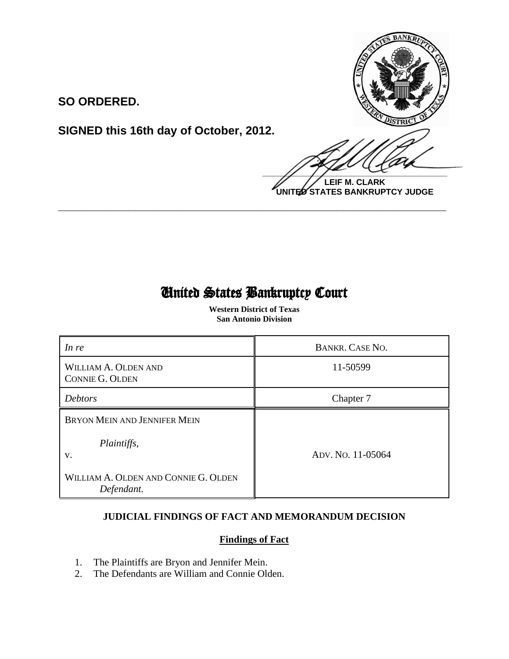

**LEIF M. CLARK UNITED STATES BANKRUPTCY JUDGE**

## **SO ORDERED.**

**SIGNED this 16th day of October, 2012.**

# United States Bankruptcy Court

 $\overline{\phantom{0}}$ 

**\_\_\_\_\_\_\_\_\_\_\_\_\_\_\_\_\_\_\_\_\_\_\_\_\_\_\_\_\_\_\_\_\_\_\_\_\_\_\_\_\_\_\_\_\_\_\_\_\_\_\_\_\_\_\_\_\_\_\_\_**

 **Western District of Texas San Antonio Division**

| In re                                              | <b>BANKR. CASE NO.</b> |
|----------------------------------------------------|------------------------|
| WILLIAM A. OLDEN AND<br><b>CONNIE G. OLDEN</b>     | 11-50599               |
| <b>Debtors</b>                                     | Chapter 7              |
| <b>BRYON MEIN AND JENNIFER MEIN</b>                |                        |
| Plaintiffs,<br>V.                                  | ADV. No. 11-05064      |
| WILLIAM A. OLDEN AND CONNIE G. OLDEN<br>Defendant. |                        |

### **JUDICIAL FINDINGS OF FACT AND MEMORANDUM DECISION**

#### **Findings of Fact**

- 1. The Plaintiffs are Bryon and Jennifer Mein.<br>2. The Defendants are William and Connie Old
- The Defendants are William and Connie Olden.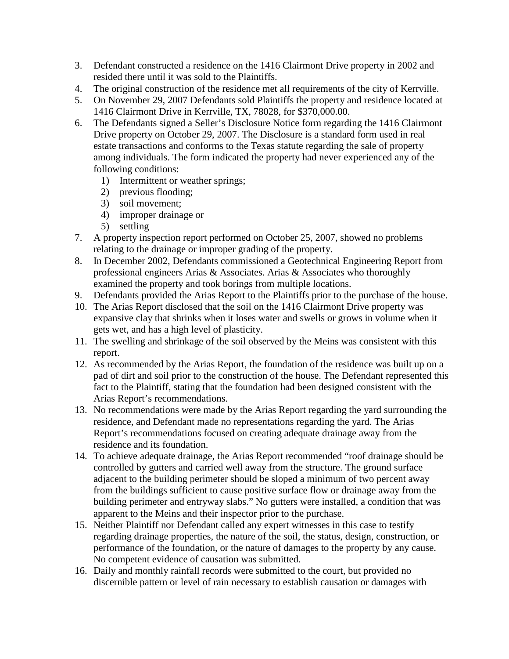- 3. Defendant constructed a residence on the 1416 Clairmont Drive property in 2002 and resided there until it was sold to the Plaintiffs.
- 4. The original construction of the residence met all requirements of the city of Kerrville.
- 5. On November 29, 2007 Defendants sold Plaintiffs the property and residence located at 1416 Clairmont Drive in Kerrville, TX, 78028, for \$370,000.00.
- 6. The Defendants signed a Seller's Disclosure Notice form regarding the 1416 Clairmont Drive property on October 29, 2007. The Disclosure is a standard form used in real estate transactions and conforms to the Texas statute regarding the sale of property among individuals. The form indicated the property had never experienced any of the following conditions:
	- 1) Intermittent or weather springs;
	- 2) previous flooding;
	- 3) soil movement;
	- 4) improper drainage or
	- 5) settling
- 7. A property inspection report performed on October 25, 2007, showed no problems relating to the drainage or improper grading of the property.
- 8. In December 2002, Defendants commissioned a Geotechnical Engineering Report from professional engineers Arias & Associates. Arias & Associates who thoroughly examined the property and took borings from multiple locations.
- 9. Defendants provided the Arias Report to the Plaintiffs prior to the purchase of the house.
- 10. The Arias Report disclosed that the soil on the 1416 Clairmont Drive property was expansive clay that shrinks when it loses water and swells or grows in volume when it gets wet, and has a high level of plasticity.
- 11. The swelling and shrinkage of the soil observed by the Meins was consistent with this report.
- 12. As recommended by the Arias Report, the foundation of the residence was built up on a pad of dirt and soil prior to the construction of the house. The Defendant represented this fact to the Plaintiff, stating that the foundation had been designed consistent with the Arias Report's recommendations.
- 13. No recommendations were made by the Arias Report regarding the yard surrounding the residence, and Defendant made no representations regarding the yard. The Arias Report's recommendations focused on creating adequate drainage away from the residence and its foundation.
- 14. To achieve adequate drainage, the Arias Report recommended "roof drainage should be controlled by gutters and carried well away from the structure. The ground surface adjacent to the building perimeter should be sloped a minimum of two percent away from the buildings sufficient to cause positive surface flow or drainage away from the building perimeter and entryway slabs." No gutters were installed, a condition that was apparent to the Meins and their inspector prior to the purchase.
- 15. Neither Plaintiff nor Defendant called any expert witnesses in this case to testify regarding drainage properties, the nature of the soil, the status, design, construction, or performance of the foundation, or the nature of damages to the property by any cause. No competent evidence of causation was submitted.
- 16. Daily and monthly rainfall records were submitted to the court, but provided no discernible pattern or level of rain necessary to establish causation or damages with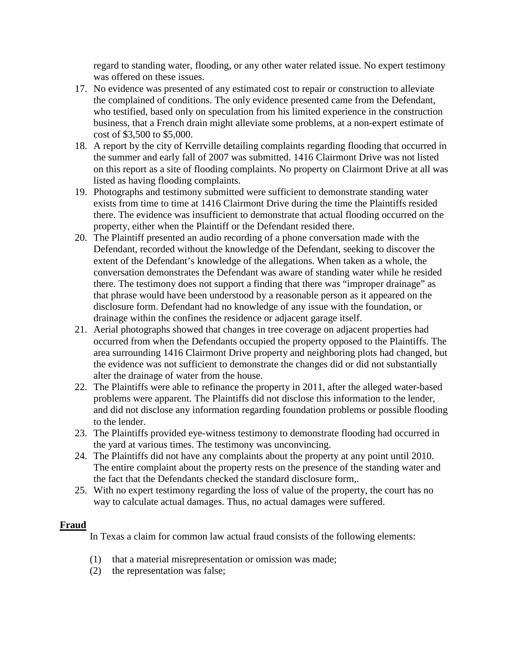regard to standing water, flooding, or any other water related issue. No expert testimony was offered on these issues.

- 17. No evidence was presented of any estimated cost to repair or construction to alleviate the complained of conditions. The only evidence presented came from the Defendant, who testified, based only on speculation from his limited experience in the construction business, that a French drain might alleviate some problems, at a non-expert estimate of cost of \$3,500 to \$5,000.
- 18. A report by the city of Kerrville detailing complaints regarding flooding that occurred in the summer and early fall of 2007 was submitted. 1416 Clairmont Drive was not listed on this report as a site of flooding complaints. No property on Clairmont Drive at all was listed as having flooding complaints.
- 19. Photographs and testimony submitted were sufficient to demonstrate standing water exists from time to time at 1416 Clairmont Drive during the time the Plaintiffs resided there. The evidence was insufficient to demonstrate that actual flooding occurred on the property, either when the Plaintiff or the Defendant resided there.
- 20. The Plaintiff presented an audio recording of a phone conversation made with the Defendant, recorded without the knowledge of the Defendant, seeking to discover the extent of the Defendant's knowledge of the allegations. When taken as a whole, the conversation demonstrates the Defendant was aware of standing water while he resided there. The testimony does not support a finding that there was "improper drainage" as that phrase would have been understood by a reasonable person as it appeared on the disclosure form. Defendant had no knowledge of any issue with the foundation, or drainage within the confines the residence or adjacent garage itself.
- 21. Aerial photographs showed that changes in tree coverage on adjacent properties had occurred from when the Defendants occupied the property opposed to the Plaintiffs. The area surrounding 1416 Clairmont Drive property and neighboring plots had changed, but the evidence was not sufficient to demonstrate the changes did or did not substantially alter the drainage of water from the house.
- 22. The Plaintiffs were able to refinance the property in 2011, after the alleged water-based problems were apparent. The Plaintiffs did not disclose this information to the lender, and did not disclose any information regarding foundation problems or possible flooding to the lender.
- 23. The Plaintiffs provided eye-witness testimony to demonstrate flooding had occurred in the yard at various times. The testimony was unconvincing.
- 24. The Plaintiffs did not have any complaints about the property at any point until 2010. The entire complaint about the property rests on the presence of the standing water and the fact that the Defendants checked the standard disclosure form,.
- 25. With no expert testimony regarding the loss of value of the property, the court has no way to calculate actual damages. Thus, no actual damages were suffered.

#### **Fraud**

In Texas a claim for common law actual fraud consists of the following elements:

- (1) that a material misrepresentation or omission was made;
- (2) the representation was false;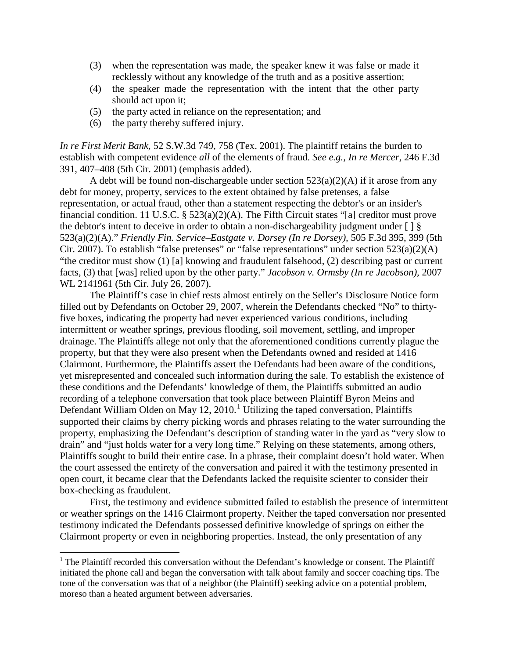- (3) when the representation was made, the speaker knew it was false or made it recklessly without any knowledge of the truth and as a positive assertion;
- (4) the speaker made the representation with the intent that the other party should act upon it;
- (5) the party acted in reliance on the representation; and
- (6) the party thereby suffered injury.

 $\overline{\phantom{0}}$ 

*In re First Merit Bank,* 52 S.W.3d 749, 758 (Tex. 2001). The plaintiff retains the burden to establish with competent evidence *all* of the elements of fraud. *See e.g., In re Mercer,* 246 F.3d 391, 407–408 (5th Cir. 2001) (emphasis added).

A debt will be found non-dischargeable under section  $523(a)(2)(A)$  if it arose from any debt for money, property, services to the extent obtained by false pretenses, a false representation, or actual fraud, other than a statement respecting the debtor's or an insider's financial condition. [11 U.S.C. § 523\(a\)\(2\)\(A\).](https://web2.westlaw.com/find/default.wl?mt=26&db=1000546&docname=11USCAS523&rp=%2ffind%2fdefault.wl&findtype=L&ordoc=2024537224&tc=-1&vr=2.0&fn=_top&sv=Split&tf=-1&referencepositiontype=T&pbc=7A4BD66F&referenceposition=SP%3bb5120000f7a05&rs=WLW12.07) The Fifth Circuit states "[a] creditor must prove the debtor's intent to deceive in order to obtain a non-dischargeability judgment under [ ] § 523(a)(2)(A)." *Friendly Fin. Service–Eastgate v. Dorsey (In re Dorsey),* 505 F.3d 395, 399 (5th Cir. 2007). To establish "false pretenses" or "false representations" under [section 523\(a\)\(2\)\(A\)](https://web2.westlaw.com/find/default.wl?mt=26&db=1000546&docname=11USCAS523&rp=%2ffind%2fdefault.wl&findtype=L&ordoc=2024537224&tc=-1&vr=2.0&fn=_top&sv=Split&tf=-1&referencepositiontype=T&pbc=7A4BD66F&referenceposition=SP%3bb5120000f7a05&rs=WLW12.07) "the creditor must show (1) [a] knowing and fraudulent falsehood, (2) describing past or current facts, (3) that [was] relied upon by the other party." *[Jacobson v. Ormsby \(In re Jacobson\),](https://web2.westlaw.com/find/default.wl?mt=26&db=0000999&tc=-1&rp=%2ffind%2fdefault.wl&findtype=Y&ordoc=2024537224&serialnum=2012793800&vr=2.0&fn=_top&sv=Split&tf=-1&pbc=7A4BD66F&rs=WLW12.07)* 2007 [WL 2141961 \(5th Cir. July 26, 2007\).](https://web2.westlaw.com/find/default.wl?mt=26&db=0000999&tc=-1&rp=%2ffind%2fdefault.wl&findtype=Y&ordoc=2024537224&serialnum=2012793800&vr=2.0&fn=_top&sv=Split&tf=-1&pbc=7A4BD66F&rs=WLW12.07)

The Plaintiff's case in chief rests almost entirely on the Seller's Disclosure Notice form filled out by Defendants on October 29, 2007, wherein the Defendants checked "No" to thirtyfive boxes, indicating the property had never experienced various conditions, including intermittent or weather springs, previous flooding, soil movement, settling, and improper drainage. The Plaintiffs allege not only that the aforementioned conditions currently plague the property, but that they were also present when the Defendants owned and resided at 1416 Clairmont. Furthermore, the Plaintiffs assert the Defendants had been aware of the conditions, yet misrepresented and concealed such information during the sale. To establish the existence of these conditions and the Defendants' knowledge of them, the Plaintiffs submitted an audio recording of a telephone conversation that took place between Plaintiff Byron Meins and Defendant William Olden on May [1](#page-3-0)2, 2010.<sup>1</sup> Utilizing the taped conversation, Plaintiffs supported their claims by cherry picking words and phrases relating to the water surrounding the property, emphasizing the Defendant's description of standing water in the yard as "very slow to drain" and "just holds water for a very long time." Relying on these statements, among others, Plaintiffs sought to build their entire case. In a phrase, their complaint doesn't hold water. When the court assessed the entirety of the conversation and paired it with the testimony presented in open court, it became clear that the Defendants lacked the requisite scienter to consider their box-checking as fraudulent.

First, the testimony and evidence submitted failed to establish the presence of intermittent or weather springs on the 1416 Clairmont property. Neither the taped conversation nor presented testimony indicated the Defendants possessed definitive knowledge of springs on either the Clairmont property or even in neighboring properties. Instead, the only presentation of any

<span id="page-3-0"></span><sup>&</sup>lt;sup>1</sup> The Plaintiff recorded this conversation without the Defendant's knowledge or consent. The Plaintiff initiated the phone call and began the conversation with talk about family and soccer coaching tips. The tone of the conversation was that of a neighbor (the Plaintiff) seeking advice on a potential problem, moreso than a heated argument between adversaries.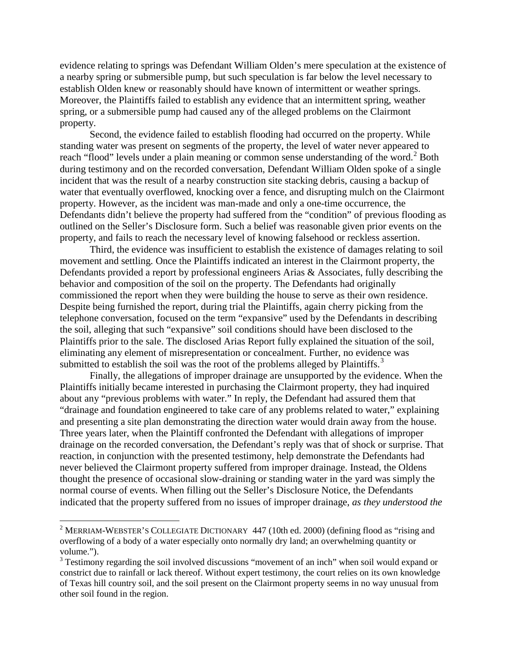evidence relating to springs was Defendant William Olden's mere speculation at the existence of a nearby spring or submersible pump, but such speculation is far below the level necessary to establish Olden knew or reasonably should have known of intermittent or weather springs. Moreover, the Plaintiffs failed to establish any evidence that an intermittent spring, weather spring, or a submersible pump had caused any of the alleged problems on the Clairmont property.

Second, the evidence failed to establish flooding had occurred on the property. While standing water was present on segments of the property, the level of water never appeared to reach "flood" levels under a plain meaning or common sense understanding of the word.<sup>[2](#page-4-0)</sup> Both during testimony and on the recorded conversation, Defendant William Olden spoke of a single incident that was the result of a nearby construction site stacking debris, causing a backup of water that eventually overflowed, knocking over a fence, and disrupting mulch on the Clairmont property. However, as the incident was man-made and only a one-time occurrence, the Defendants didn't believe the property had suffered from the "condition" of previous flooding as outlined on the Seller's Disclosure form. Such a belief was reasonable given prior events on the property, and fails to reach the necessary level of knowing falsehood or reckless assertion.

Third, the evidence was insufficient to establish the existence of damages relating to soil movement and settling. Once the Plaintiffs indicated an interest in the Clairmont property, the Defendants provided a report by professional engineers Arias & Associates, fully describing the behavior and composition of the soil on the property. The Defendants had originally commissioned the report when they were building the house to serve as their own residence. Despite being furnished the report, during trial the Plaintiffs, again cherry picking from the telephone conversation, focused on the term "expansive" used by the Defendants in describing the soil, alleging that such "expansive" soil conditions should have been disclosed to the Plaintiffs prior to the sale. The disclosed Arias Report fully explained the situation of the soil, eliminating any element of misrepresentation or concealment. Further, no evidence was submitted to establish the soil was the root of the problems alleged by Plaintiffs.<sup>[3](#page-4-1)</sup>

Finally, the allegations of improper drainage are unsupported by the evidence. When the Plaintiffs initially became interested in purchasing the Clairmont property, they had inquired about any "previous problems with water." In reply, the Defendant had assured them that "drainage and foundation engineered to take care of any problems related to water," explaining and presenting a site plan demonstrating the direction water would drain away from the house. Three years later, when the Plaintiff confronted the Defendant with allegations of improper drainage on the recorded conversation, the Defendant's reply was that of shock or surprise. That reaction, in conjunction with the presented testimony, help demonstrate the Defendants had never believed the Clairmont property suffered from improper drainage. Instead, the Oldens thought the presence of occasional slow-draining or standing water in the yard was simply the normal course of events. When filling out the Seller's Disclosure Notice, the Defendants indicated that the property suffered from no issues of improper drainage, *as they understood the* 

 $\overline{\phantom{0}}$ 

<span id="page-4-0"></span><sup>&</sup>lt;sup>2</sup> MERRIAM-WEBSTER'S COLLEGIATE DICTIONARY 447 (10th ed. 2000) (defining flood as "rising and overflowing of a body of a water especially onto normally dry land; an overwhelming quantity or volume.").

<span id="page-4-1"></span><sup>&</sup>lt;sup>3</sup> Testimony regarding the soil involved discussions "movement of an inch" when soil would expand or constrict due to rainfall or lack thereof. Without expert testimony, the court relies on its own knowledge of Texas hill country soil, and the soil present on the Clairmont property seems in no way unusual from other soil found in the region.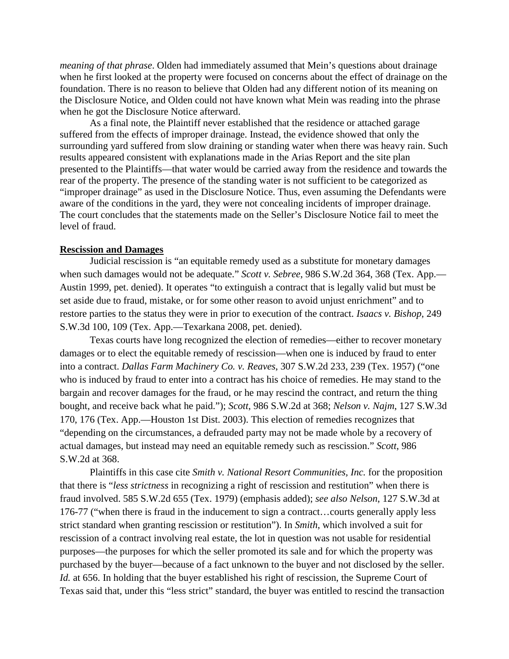*meaning of that phrase*. Olden had immediately assumed that Mein's questions about drainage when he first looked at the property were focused on concerns about the effect of drainage on the foundation. There is no reason to believe that Olden had any different notion of its meaning on the Disclosure Notice, and Olden could not have known what Mein was reading into the phrase when he got the Disclosure Notice afterward.

As a final note, the Plaintiff never established that the residence or attached garage suffered from the effects of improper drainage. Instead, the evidence showed that only the surrounding yard suffered from slow draining or standing water when there was heavy rain. Such results appeared consistent with explanations made in the Arias Report and the site plan presented to the Plaintiffs—that water would be carried away from the residence and towards the rear of the property. The presence of the standing water is not sufficient to be categorized as "improper drainage" as used in the Disclosure Notice. Thus, even assuming the Defendants were aware of the conditions in the yard, they were not concealing incidents of improper drainage. The court concludes that the statements made on the Seller's Disclosure Notice fail to meet the level of fraud.

#### **Rescission and Damages**

Judicial rescission is "an equitable remedy used as a substitute for monetary damages when such damages would not be adequate." *Scott v. Sebree*, 986 S.W.2d 364, 368 (Tex. App.— Austin 1999, pet. denied). It operates "to extinguish a contract that is legally valid but must be set aside due to fraud, mistake, or for some other reason to avoid unjust enrichment" and to restore parties to the status they were in prior to execution of the contract. *[Isaacs v. Bishop](http://www.lexis.com/research/xlink?app=00075&view=full&searchtype=get&search=249+S.W.3d+100%2520at%2520109)*, 249 [S.W.3d 100, 109 \(Tex. App.—Texarkana 2008, pet. denied\).](http://www.lexis.com/research/xlink?app=00075&view=full&searchtype=get&search=249+S.W.3d+100%2520at%2520109)

Texas courts have long recognized the election of remedies—either to recover monetary damages or to elect the equitable remedy of rescission—when one is induced by fraud to enter into a contract. *[Dallas Farm Machinery Co. v. Reaves](http://www.lexis.com/research/xlink?app=00075&view=full&searchtype=get&search=158+Tex.+1)*, 307 S.W.2d 233, 239 (Tex. 1957) ("one who is induced by fraud to enter into a contract has his choice of remedies. He may stand to the bargain and recover damages for the fraud, or he may rescind the contract, and return the thing bought, and receive back what he paid."); *Scott*[, 986 S.W.2d at 3](http://www.lexis.com/research/xlink?app=00075&view=full&searchtype=get&search=986+S.W.2d+364)68; *[Nelson v. Najm](http://www.lexis.com/research/xlink?app=00075&view=full&searchtype=get&search=127+S.W.3d+170)*, 127 S.W.3d [170, 176 \(Tex. App.—Houston 1st Dist. 2003\).](http://www.lexis.com/research/xlink?app=00075&view=full&searchtype=get&search=127+S.W.3d+170) This election of remedies recognizes that "depending on the circumstances, a defrauded party may not be made whole by a recovery of actual damages, but instead may need an equitable remedy such as rescission." *Scott*, 986 S.W.2d at 368.

Plaintiffs in this case cite *Smith v. National Resort Communities, Inc.* for the proposition that there is "*less strictness* in recognizing a right of rescission and restitution" when there is fraud involved. [585 S.W.2d 655 \(Tex. 1979\)](http://www.lexis.com/research/xlink?app=00075&view=full&searchtype=get&search=585+S.W.2d+655) (emphasis added); *see also Nelson*, 127 S.W.3d at 176-77 ("when there is fraud in the inducement to sign a contract…courts generally apply less strict standard when granting rescission or restitution"). In *Smith*, which involved a suit for rescission of a contract involving real estate, the lot in question was not usable for residential purposes—the purposes for which the seller promoted its sale and for which the property was purchased by the buyer—because of a fact unknown to the buyer and not disclosed by the seller. *Id.* at 656. In holding that the buyer established his right of rescission, the Supreme Court of Texas said that, under this "less strict" standard, the buyer was entitled to rescind the transaction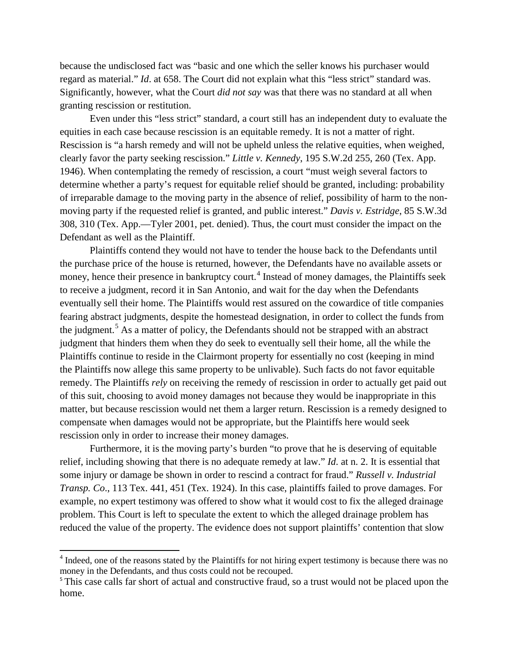because the undisclosed fact was "basic and one which the seller knows his purchaser would regard as material." *Id*. at 658. The Court did not explain what this "less strict" standard was. Significantly, however, what the Court *did not say* was that there was no standard at all when granting rescission or restitution.

Even under this "less strict" standard, a court still has an independent duty to evaluate the equities in each case because rescission is an equitable remedy. It is not a matter of right. Rescission is "a harsh remedy and will not be upheld unless the relative equities, when weighed, clearly favor the party seeking rescission." *Little v. Kennedy*[, 195 S.W.2d 255, 260 \(Tex. App.](http://www.lexis.com/research/xlink?app=00075&view=full&searchtype=get&xdocnum=2&search=195+S.W.2d+255%2520at%2520260)  [1946\).](http://www.lexis.com/research/xlink?app=00075&view=full&searchtype=get&xdocnum=2&search=195+S.W.2d+255%2520at%2520260) When contemplating the remedy of rescission, a court "must weigh several factors to determine whether a party's request for equitable relief should be granted, including: probability of irreparable damage to the moving party in the absence of relief, possibility of harm to the nonmoving party if the requested relief is granted, and public interest." *[Davis v. Estridge](http://www.lexis.com/research/xlink?app=00075&view=full&searchtype=get&search=85+S.W.3d+308)*, 85 S.W.3d [308, 310 \(Tex. App.—Tyler 2001, pet. denied\).](http://www.lexis.com/research/xlink?app=00075&view=full&searchtype=get&search=85+S.W.3d+308) Thus, the court must consider the impact on the Defendant as well as the Plaintiff.

Plaintiffs contend they would not have to tender the house back to the Defendants until the purchase price of the house is returned, however, the Defendants have no available assets or money, hence their presence in bankruptcy court.<sup>[4](#page-6-0)</sup> Instead of money damages, the Plaintiffs seek to receive a judgment, record it in San Antonio, and wait for the day when the Defendants eventually sell their home. The Plaintiffs would rest assured on the cowardice of title companies fearing abstract judgments, despite the homestead designation, in order to collect the funds from the judgment.<sup>[5](#page-6-1)</sup> As a matter of policy, the Defendants should not be strapped with an abstract judgment that hinders them when they do seek to eventually sell their home, all the while the Plaintiffs continue to reside in the Clairmont property for essentially no cost (keeping in mind the Plaintiffs now allege this same property to be unlivable). Such facts do not favor equitable remedy. The Plaintiffs *rely* on receiving the remedy of rescission in order to actually get paid out of this suit, choosing to avoid money damages not because they would be inappropriate in this matter, but because rescission would net them a larger return. Rescission is a remedy designed to compensate when damages would not be appropriate, but the Plaintiffs here would seek rescission only in order to increase their money damages.

Furthermore, it is the moving party's burden "to prove that he is deserving of equitable relief, including showing that there is no adequate remedy at law." *Id*. at n. 2. It is essential that some injury or damage be shown in order to rescind a contract for fraud." *[Russell v. Industrial](http://www.lexis.com/research/xlink?app=00075&view=full&searchtype=get&xdocnum=1&search=113+Tex.+441%2520at%2520451)  Transp. Co*[., 113 Tex. 441, 451 \(Tex. 1924\).](http://www.lexis.com/research/xlink?app=00075&view=full&searchtype=get&xdocnum=1&search=113+Tex.+441%2520at%2520451) In this case, plaintiffs failed to prove damages. For example, no expert testimony was offered to show what it would cost to fix the alleged drainage problem. This Court is left to speculate the extent to which the alleged drainage problem has reduced the value of the property. The evidence does not support plaintiffs' contention that slow

 $\overline{\phantom{0}}$ 

<span id="page-6-0"></span><sup>&</sup>lt;sup>4</sup> Indeed, one of the reasons stated by the Plaintiffs for not hiring expert testimony is because there was no money in the Defendants, and thus costs could not be recouped.

<span id="page-6-1"></span><sup>&</sup>lt;sup>5</sup> This case calls far short of actual and constructive fraud, so a trust would not be placed upon the home.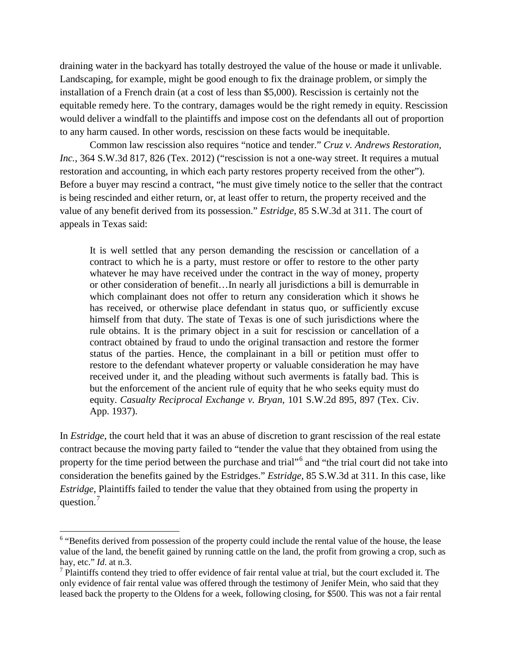draining water in the backyard has totally destroyed the value of the house or made it unlivable. Landscaping, for example, might be good enough to fix the drainage problem, or simply the installation of a French drain (at a cost of less than \$5,000). Rescission is certainly not the equitable remedy here. To the contrary, damages would be the right remedy in equity. Rescission would deliver a windfall to the plaintiffs and impose cost on the defendants all out of proportion to any harm caused. In other words, rescission on these facts would be inequitable.

Common law rescission also requires "notice and tender." *[Cruz v. Andrews Restoration,](http://www.lexis.com/research/xlink?app=00075&view=full&searchtype=get&search=364+S.W.3d+817%2520at%2520826)  Inc.*[, 364 S.W.3d 817, 826 \(Tex. 2012\)](http://www.lexis.com/research/xlink?app=00075&view=full&searchtype=get&search=364+S.W.3d+817%2520at%2520826) ("rescission is not a one-way street. It requires a mutual restoration and accounting, in which each party restores property received from the other"). Before a buyer may rescind a contract, "he must give timely notice to the seller that the contract is being rescinded and either return, or, at least offer to return, the property received and the value of any benefit derived from its possession." *Estridge*, 85 S.W.3d at 311. The court of appeals in Texas said:

It is well settled that any person demanding the rescission or cancellation of a contract to which he is a party, must restore or offer to restore to the other party whatever he may have received under the contract in the way of money, property or other consideration of benefit…In nearly all jurisdictions a bill is demurrable in which complainant does not offer to return any consideration which it shows he has received, or otherwise place defendant in status quo, or sufficiently excuse himself from that duty. The state of Texas is one of such jurisdictions where the rule obtains. It is the primary object in a suit for rescission or cancellation of a contract obtained by fraud to undo the original transaction and restore the former status of the parties. Hence, the complainant in a bill or petition must offer to restore to the defendant whatever property or valuable consideration he may have received under it, and the pleading without such averments is fatally bad. This is but the enforcement of the ancient rule of equity that he who seeks equity must do equity. *[Casualty Reciprocal Exchange v. Bryan](http://www.lexis.com/research/xlink?app=00075&view=full&searchtype=get&search=101+S.W.2d+895%2520at%2520897)*, 101 S.W.2d 895, 897 (Tex. Civ. [App. 1937\).](http://www.lexis.com/research/xlink?app=00075&view=full&searchtype=get&search=101+S.W.2d+895%2520at%2520897)

In *Estridge*, the court held that it was an abuse of discretion to grant rescission of the real estate contract because the moving party failed to "tender the value that they obtained from using the property for the time period between the purchase and trial"<sup>[6](#page-7-0)</sup> and "the trial court did not take into consideration the benefits gained by the Estridges." *Estridge*, 85 S.W.3d at 311. In this case, like *Estridge*, Plaintiffs failed to tender the value that they obtained from using the property in question.<sup>[7](#page-7-1)</sup>

ı

<span id="page-7-0"></span><sup>&</sup>lt;sup>6</sup> "Benefits derived from possession of the property could include the rental value of the house, the lease value of the land, the benefit gained by running cattle on the land, the profit from growing a crop, such as hay, etc." *Id*. at n.3.

<span id="page-7-1"></span> $<sup>7</sup>$  Plaintiffs contend they tried to offer evidence of fair rental value at trial, but the court excluded it. The</sup> only evidence of fair rental value was offered through the testimony of Jenifer Mein, who said that they leased back the property to the Oldens for a week, following closing, for \$500. This was not a fair rental